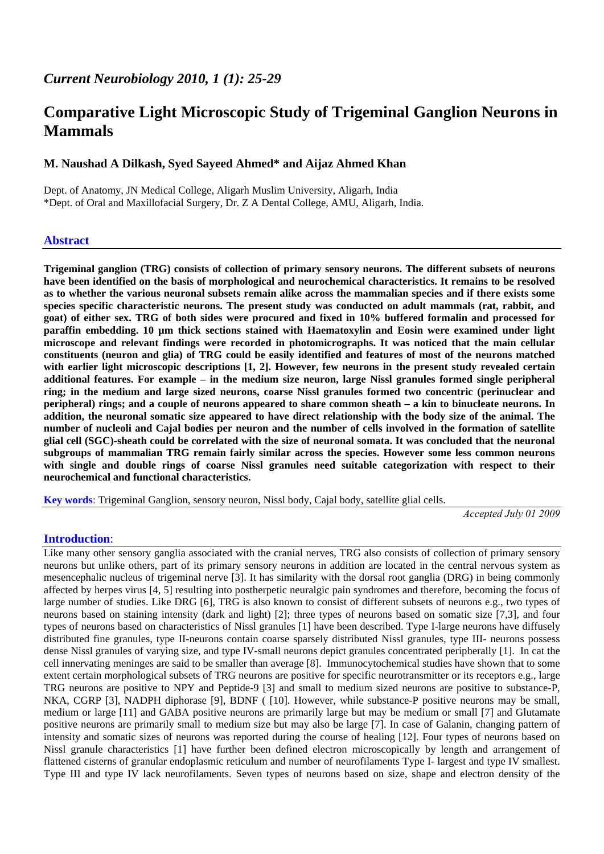# **Comparative Light Microscopic Study of Trigeminal Ganglion Neurons in Mammals**

# **M. Naushad A Dilkash, Syed Sayeed Ahmed\* and Aijaz Ahmed Khan**

Dept. of Anatomy, JN Medical College, Aligarh Muslim University, Aligarh, India \*Dept. of Oral and Maxillofacial Surgery, Dr. Z A Dental College, AMU, Aligarh, India.

### **Abstract**

**Trigeminal ganglion (TRG) consists of collection of primary sensory neurons. The different subsets of neurons have been identified on the basis of morphological and neurochemical characteristics. It remains to be resolved as to whether the various neuronal subsets remain alike across the mammalian species and if there exists some species specific characteristic neurons. The present study was conducted on adult mammals (rat, rabbit, and goat) of either sex. TRG of both sides were procured and fixed in 10% buffered formalin and processed for paraffin embedding. 10 µm thick sections stained with Haematoxylin and Eosin were examined under light microscope and relevant findings were recorded in photomicrographs. It was noticed that the main cellular constituents (neuron and glia) of TRG could be easily identified and features of most of the neurons matched with earlier light microscopic descriptions [1, 2]. However, few neurons in the present study revealed certain additional features. For example – in the medium size neuron, large Nissl granules formed single peripheral ring; in the medium and large sized neurons, coarse Nissl granules formed two concentric (perinuclear and peripheral) rings; and a couple of neurons appeared to share common sheath – a kin to binucleate neurons. In addition, the neuronal somatic size appeared to have direct relationship with the body size of the animal. The number of nucleoli and Cajal bodies per neuron and the number of cells involved in the formation of satellite glial cell (SGC)-sheath could be correlated with the size of neuronal somata. It was concluded that the neuronal subgroups of mammalian TRG remain fairly similar across the species. However some less common neurons with single and double rings of coarse Nissl granules need suitable categorization with respect to their neurochemical and functional characteristics.** 

**Key words**: Trigeminal Ganglion, sensory neuron, Nissl body, Cajal body, satellite glial cells.

*Accepted July 01 2009* 

## **Introduction**:

Like many other sensory ganglia associated with the cranial nerves, TRG also consists of collection of primary sensory neurons but unlike others, part of its primary sensory neurons in addition are located in the central nervous system as mesencephalic nucleus of trigeminal nerve [3]. It has similarity with the dorsal root ganglia (DRG) in being commonly affected by herpes virus [4, 5] resulting into postherpetic neuralgic pain syndromes and therefore, becoming the focus of large number of studies. Like DRG [6], TRG is also known to consist of different subsets of neurons e.g., two types of neurons based on staining intensity (dark and light) [2]; three types of neurons based on somatic size [7,3], and four types of neurons based on characteristics of Nissl granules [1] have been described. Type I-large neurons have diffusely distributed fine granules, type II-neurons contain coarse sparsely distributed Nissl granules, type III- neurons possess dense Nissl granules of varying size, and type IV-small neurons depict granules concentrated peripherally [1]. In cat the cell innervating meninges are said to be smaller than average [8]. Immunocytochemical studies have shown that to some extent certain morphological subsets of TRG neurons are positive for specific neurotransmitter or its receptors e.g., large TRG neurons are positive to NPY and Peptide-9 [3] and small to medium sized neurons are positive to substance-P, NKA, CGRP [3], NADPH diphorase [9], BDNF ( [10]. However, while substance-P positive neurons may be small, medium or large [11] and GABA positive neurons are primarily large but may be medium or small [7] and Glutamate positive neurons are primarily small to medium size but may also be large [7]. In case of Galanin, changing pattern of intensity and somatic sizes of neurons was reported during the course of healing [12]. Four types of neurons based on Nissl granule characteristics [1] have further been defined electron microscopically by length and arrangement of flattened cisterns of granular endoplasmic reticulum and number of neurofilaments Type I- largest and type IV smallest. Type III and type IV lack neurofilaments. Seven types of neurons based on size, shape and electron density of the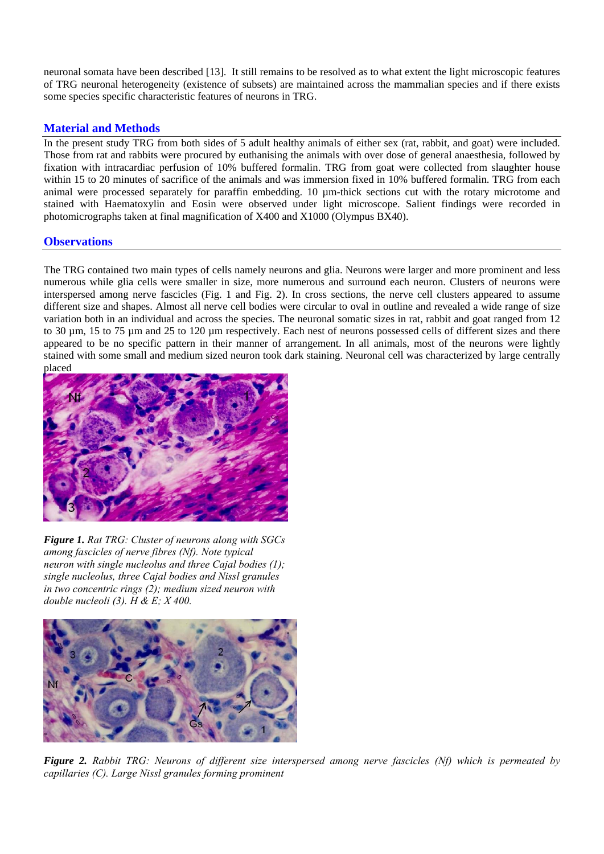neuronal somata have been described [13]. It still remains to be resolved as to what extent the light microscopic features of TRG neuronal heterogeneity (existence of subsets) are maintained across the mammalian species and if there exists some species specific characteristic features of neurons in TRG.

# **Material and Methods**

In the present study TRG from both sides of 5 adult healthy animals of either sex (rat, rabbit, and goat) were included. Those from rat and rabbits were procured by euthanising the animals with over dose of general anaesthesia, followed by fixation with intracardiac perfusion of 10% buffered formalin. TRG from goat were collected from slaughter house within 15 to 20 minutes of sacrifice of the animals and was immersion fixed in 10% buffered formalin. TRG from each animal were processed separately for paraffin embedding. 10 µm-thick sections cut with the rotary microtome and stained with Haematoxylin and Eosin were observed under light microscope. Salient findings were recorded in photomicrographs taken at final magnification of X400 and X1000 (Olympus BX40).

# **Observations**

The TRG contained two main types of cells namely neurons and glia. Neurons were larger and more prominent and less numerous while glia cells were smaller in size, more numerous and surround each neuron. Clusters of neurons were interspersed among nerve fascicles (Fig. 1 and Fig. 2). In cross sections, the nerve cell clusters appeared to assume different size and shapes. Almost all nerve cell bodies were circular to oval in outline and revealed a wide range of size variation both in an individual and across the species. The neuronal somatic sizes in rat, rabbit and goat ranged from 12 to 30 µm, 15 to 75 µm and 25 to 120 µm respectively. Each nest of neurons possessed cells of different sizes and there appeared to be no specific pattern in their manner of arrangement. In all animals, most of the neurons were lightly stained with some small and medium sized neuron took dark staining. Neuronal cell was characterized by large centrally placed



*Figure 1. Rat TRG: Cluster of neurons along with SGCs among fascicles of nerve fibres (Nf). Note typical neuron with single nucleolus and three Cajal bodies (1); single nucleolus, three Cajal bodies and Nissl granules in two concentric rings (2); medium sized neuron with double nucleoli (3). H & E; X 400.* 



*Figure 2. Rabbit TRG: Neurons of different size interspersed among nerve fascicles (Nf) which is permeated by capillaries (C). Large Nissl granules forming prominent*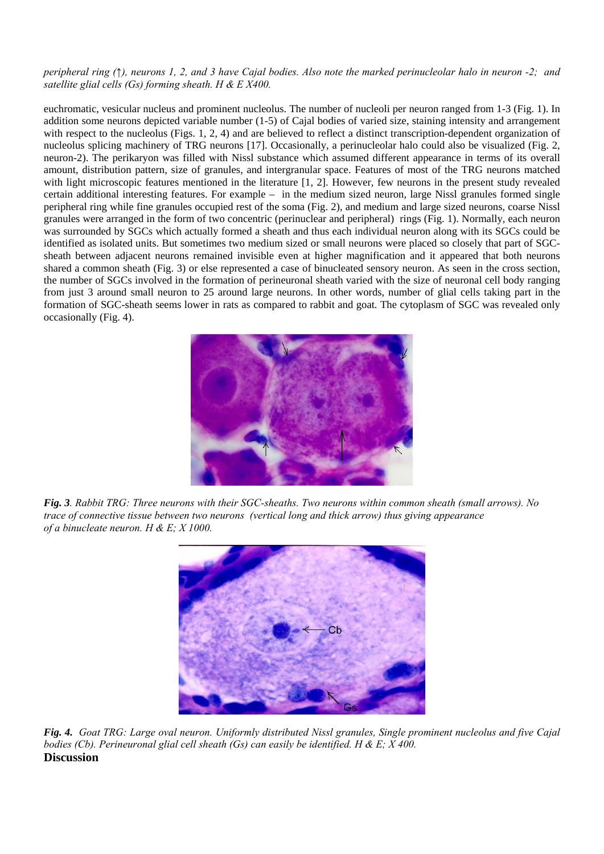#### *peripheral ring (↑), neurons 1, 2, and 3 have Cajal bodies. Also note the marked perinucleolar halo in neuron -2; and satellite glial cells (Gs) forming sheath. H & E X400.*

euchromatic, vesicular nucleus and prominent nucleolus. The number of nucleoli per neuron ranged from 1-3 (Fig. 1). In addition some neurons depicted variable number (1-5) of Cajal bodies of varied size, staining intensity and arrangement with respect to the nucleolus (Figs. 1, 2, 4) and are believed to reflect a distinct transcription-dependent organization of nucleolus splicing machinery of TRG neurons [17]. Occasionally, a perinucleolar halo could also be visualized (Fig. 2, neuron-2). The perikaryon was filled with Nissl substance which assumed different appearance in terms of its overall amount, distribution pattern, size of granules, and intergranular space. Features of most of the TRG neurons matched with light microscopic features mentioned in the literature [1, 2]. However, few neurons in the present study revealed certain additional interesting features. For example – in the medium sized neuron, large Nissl granules formed single peripheral ring while fine granules occupied rest of the soma (Fig. 2), and medium and large sized neurons, coarse Nissl granules were arranged in the form of two concentric (perinuclear and peripheral) rings (Fig. 1). Normally, each neuron was surrounded by SGCs which actually formed a sheath and thus each individual neuron along with its SGCs could be identified as isolated units. But sometimes two medium sized or small neurons were placed so closely that part of SGCsheath between adjacent neurons remained invisible even at higher magnification and it appeared that both neurons shared a common sheath (Fig. 3) or else represented a case of binucleated sensory neuron. As seen in the cross section, the number of SGCs involved in the formation of perineuronal sheath varied with the size of neuronal cell body ranging from just 3 around small neuron to 25 around large neurons. In other words, number of glial cells taking part in the formation of SGC-sheath seems lower in rats as compared to rabbit and goat. The cytoplasm of SGC was revealed only occasionally (Fig. 4).



*Fig. 3. Rabbit TRG: Three neurons with their SGC-sheaths. Two neurons within common sheath (small arrows). No trace of connective tissue between two neurons (vertical long and thick arrow) thus giving appearance of a binucleate neuron. H & E; X 1000.* 



*Fig. 4. Goat TRG: Large oval neuron. Uniformly distributed Nissl granules, Single prominent nucleolus and five Cajal bodies (Cb). Perineuronal glial cell sheath (Gs) can easily be identified. H & E; X 400.*  **Discussion**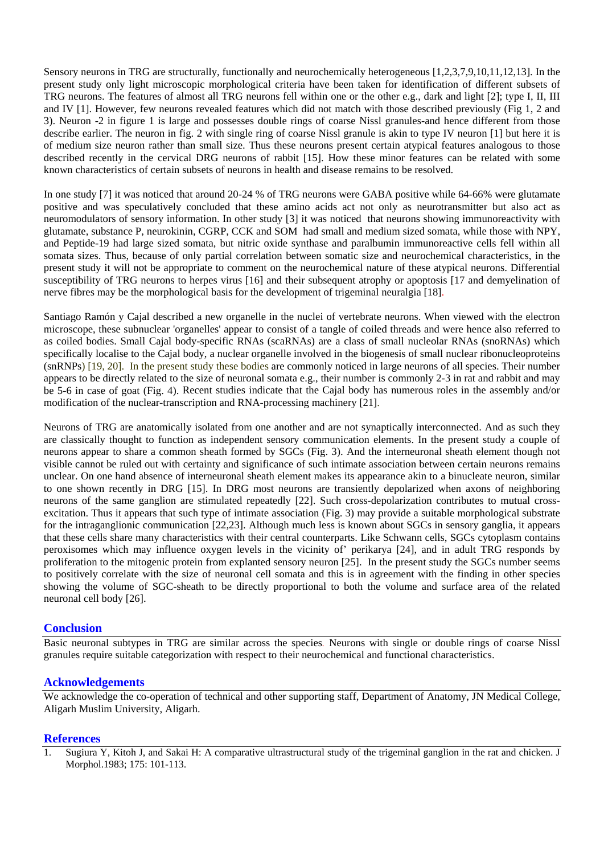Sensory neurons in TRG are structurally, functionally and neurochemically heterogeneous [1,2,3,7,9,10,11,12,13]. In the present study only light microscopic morphological criteria have been taken for identification of different subsets of TRG neurons. The features of almost all TRG neurons fell within one or the other e.g., dark and light [2]; type I, II, III and IV [1]. However, few neurons revealed features which did not match with those described previously (Fig 1, 2 and 3). Neuron -2 in figure 1 is large and possesses double rings of coarse Nissl granules-and hence different from those describe earlier. The neuron in fig. 2 with single ring of coarse Nissl granule is akin to type IV neuron [1] but here it is of medium size neuron rather than small size. Thus these neurons present certain atypical features analogous to those described recently in the cervical DRG neurons of rabbit [15]. How these minor features can be related with some known characteristics of certain subsets of neurons in health and disease remains to be resolved.

In one study [7] it was noticed that around 20-24 % of TRG neurons were GABA positive while 64-66% were glutamate positive and was speculatively concluded that these amino acids act not only as neurotransmitter but also act as neuromodulators of sensory information. In other study [3] it was noticed that neurons showing immunoreactivity with glutamate, substance P, neurokinin, CGRP, CCK and SOM had small and medium sized somata, while those with NPY, and Peptide-19 had large sized somata, but nitric oxide synthase and paralbumin immunoreactive cells fell within all somata sizes. Thus, because of only partial correlation between somatic size and neurochemical characteristics, in the present study it will not be appropriate to comment on the neurochemical nature of these atypical neurons. Differential susceptibility of TRG neurons to herpes virus [16] and their subsequent atrophy or apoptosis [17 and demyelination of nerve fibres may be the morphological basis for the development of trigeminal neuralgia [18].

Santiago Ramón y Cajal described a new organelle in the nuclei of vertebrate neurons. When viewed with the electron microscope, these subnuclear 'organelles' appear to consist of a tangle of coiled threads and were hence also referred to as coiled bodies. Small Cajal body-specific RNAs (scaRNAs) are a class of [small nucleolar RNAs](http://en.wikipedia.org/wiki/Small_nuclear_RNA) (snoRNAs) which specifically localise to the [Cajal body,](http://en.wikipedia.org/wiki/Cajal_body) a [nuclear](http://en.wikipedia.org/wiki/Cell_nucleus) [organelle](http://en.wikipedia.org/wiki/Organelle) involved in the biogenesis of [small nuclear ribonucleoproteins](http://en.wikipedia.org/wiki/SnRNP) (snRNPs) [19, 20]. In the present study these bodies are commonly noticed in large neurons of all species. Their number appears to be directly related to the size of neuronal somata e.g., their number is commonly 2-3 in rat and rabbit and may be 5-6 in case of goat (Fig. 4). Recent studies indicate that the Cajal body has numerous roles in the assembly and/or modification of the nuclear-transcription and RNA-processing machinery [21].

Neurons of TRG are anatomically isolated from one another and are not synaptically interconnected. And as such they are classically thought to function as independent sensory communication elements. In the present study a couple of neurons appear to share a common sheath formed by SGCs (Fig. 3). And the interneuronal sheath element though not visible cannot be ruled out with certainty and significance of such intimate association between certain neurons remains unclear. On one hand absence of interneuronal sheath element makes its appearance akin to a binucleate neuron, similar to one shown recently in DRG [15]. In DRG most neurons are transiently depolarized when axons of neighboring neurons of the same ganglion are stimulated repeatedly [22]. Such cross-depolarization contributes to mutual crossexcitation. Thus it appears that such type of intimate association (Fig. 3) may provide a suitable morphological substrate for the intraganglionic communication [22,23]. Although much less is known about SGCs in sensory ganglia, it appears that these cells share many characteristics with their central counterparts. Like Schwann cells, SGCs cytoplasm contains peroxisomes which may influence oxygen levels in the vicinity of' perikarya [24], and in adult TRG responds by proliferation to the mitogenic protein from explanted sensory neuron [25]. In the present study the SGCs number seems to positively correlate with the size of neuronal cell somata and this is in agreement with the finding in other species showing the volume of SGC-sheath to be directly proportional to both the volume and surface area of the related neuronal cell body [26].

### **Conclusion**

Basic neuronal subtypes in TRG are similar across the species*.* Neurons with single or double rings of coarse Nissl granules require suitable categorization with respect to their neurochemical and functional characteristics.

### **Acknowledgements**

We acknowledge the co-operation of technical and other supporting staff, Department of Anatomy, JN Medical College, Aligarh Muslim University, Aligarh.

#### **References**

1. Sugiura Y, Kitoh J, and Sakai H: A comparative ultrastructural study of the trigeminal ganglion in the rat and chicken. J Morphol.1983; 175: 101-113.